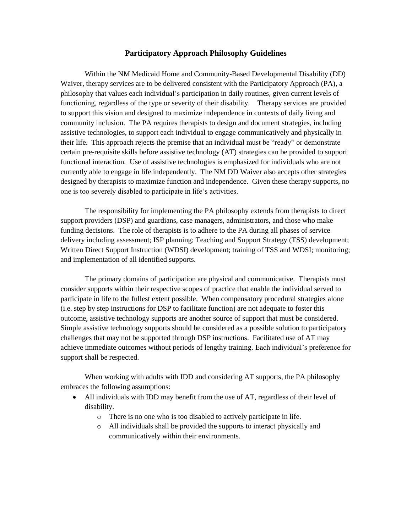## **Participatory Approach Philosophy Guidelines**

Within the NM Medicaid Home and Community-Based Developmental Disability (DD) Waiver, therapy services are to be delivered consistent with the Participatory Approach (PA), a philosophy that values each individual's participation in daily routines, given current levels of functioning, regardless of the type or severity of their disability. Therapy services are provided to support this vision and designed to maximize independence in contexts of daily living and community inclusion. The PA requires therapists to design and document strategies, including assistive technologies, to support each individual to engage communicatively and physically in their life. This approach rejects the premise that an individual must be "ready" or demonstrate certain pre-requisite skills before assistive technology (AT) strategies can be provided to support functional interaction. Use of assistive technologies is emphasized for individuals who are not currently able to engage in life independently. The NM DD Waiver also accepts other strategies designed by therapists to maximize function and independence. Given these therapy supports, no one is too severely disabled to participate in life's activities.

The responsibility for implementing the PA philosophy extends from therapists to direct support providers (DSP) and guardians, case managers, administrators, and those who make funding decisions. The role of therapists is to adhere to the PA during all phases of service delivery including assessment; ISP planning; Teaching and Support Strategy (TSS) development; Written Direct Support Instruction (WDSI) development; training of TSS and WDSI; monitoring; and implementation of all identified supports.

The primary domains of participation are physical and communicative. Therapists must consider supports within their respective scopes of practice that enable the individual served to participate in life to the fullest extent possible. When compensatory procedural strategies alone (i.e. step by step instructions for DSP to facilitate function) are not adequate to foster this outcome, assistive technology supports are another source of support that must be considered. Simple assistive technology supports should be considered as a possible solution to participatory challenges that may not be supported through DSP instructions. Facilitated use of AT may achieve immediate outcomes without periods of lengthy training. Each individual's preference for support shall be respected.

When working with adults with IDD and considering AT supports, the PA philosophy embraces the following assumptions:

- All individuals with IDD may benefit from the use of AT, regardless of their level of disability.
	- o There is no one who is too disabled to actively participate in life.
	- o All individuals shall be provided the supports to interact physically and communicatively within their environments.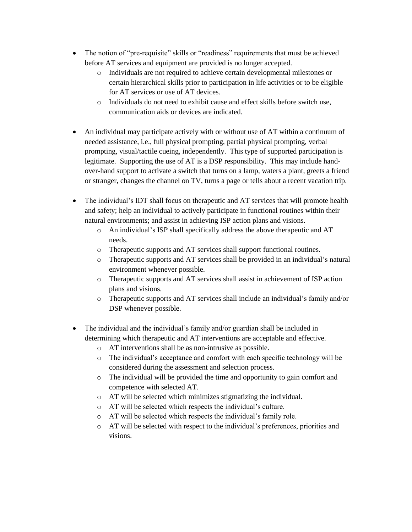- The notion of "pre-requisite" skills or "readiness" requirements that must be achieved before AT services and equipment are provided is no longer accepted.
	- o Individuals are not required to achieve certain developmental milestones or certain hierarchical skills prior to participation in life activities or to be eligible for AT services or use of AT devices.
	- o Individuals do not need to exhibit cause and effect skills before switch use, communication aids or devices are indicated.
- An individual may participate actively with or without use of AT within a continuum of needed assistance, i.e., full physical prompting, partial physical prompting, verbal prompting, visual/tactile cueing, independently. This type of supported participation is legitimate. Supporting the use of AT is a DSP responsibility. This may include handover-hand support to activate a switch that turns on a lamp, waters a plant, greets a friend or stranger, changes the channel on TV, turns a page or tells about a recent vacation trip.
- The individual's IDT shall focus on therapeutic and AT services that will promote health and safety; help an individual to actively participate in functional routines within their natural environments; and assist in achieving ISP action plans and visions.
	- o An individual's ISP shall specifically address the above therapeutic and AT needs.
	- o Therapeutic supports and AT services shall support functional routines.
	- o Therapeutic supports and AT services shall be provided in an individual's natural environment whenever possible.
	- o Therapeutic supports and AT services shall assist in achievement of ISP action plans and visions.
	- o Therapeutic supports and AT services shall include an individual's family and/or DSP whenever possible.
- The individual and the individual's family and/or guardian shall be included in determining which therapeutic and AT interventions are acceptable and effective.
	- o AT interventions shall be as non-intrusive as possible.
	- o The individual's acceptance and comfort with each specific technology will be considered during the assessment and selection process.
	- o The individual will be provided the time and opportunity to gain comfort and competence with selected AT.
	- o AT will be selected which minimizes stigmatizing the individual.
	- o AT will be selected which respects the individual's culture.
	- o AT will be selected which respects the individual's family role.
	- o AT will be selected with respect to the individual's preferences, priorities and visions.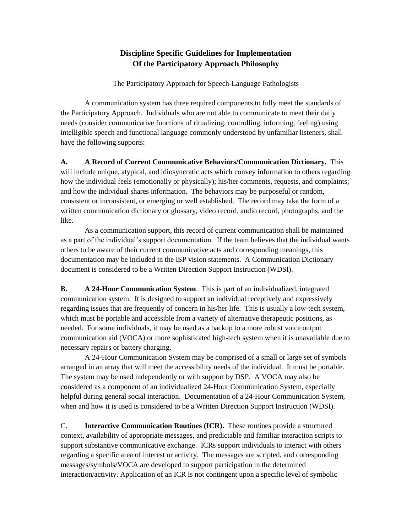## **Discipline Specific Guidelines for Implementation Of the Participatory Approach Philosophy**

## The Participatory Approach for Speech-Language Pathologists

A communication system has three required components to fully meet the standards of the Participatory Approach. Individuals who are not able to communicate to meet their daily needs (consider communicative functions of ritualizing, controlling, informing, feeling) using intelligible speech and functional language commonly understood by unfamiliar listeners, shall have the following supports:

**A. A Record of Current Communicative Behaviors/Communication Dictionary.** This will include unique, atypical, and idiosyncratic acts which convey information to others regarding how the individual feels (emotionally or physically); his/her comments, requests, and complaints; and how the individual shares information. The behaviors may be purposeful or random, consistent or inconsistent, or emerging or well established. The record may take the form of a written communication dictionary or glossary, video record, audio record, photographs, and the like.

As a communication support, this record of current communication shall be maintained as a part of the individual's support documentation. If the team believes that the individual wants others to be aware of their current communicative acts and corresponding meanings, this documentation may be included in the ISP vision statements. A Communication Dictionary document is considered to be a Written Direction Support Instruction (WDSI).

**B. A 24-Hour Communication System**. This is part of an individualized, integrated communication system. It is designed to support an individual receptively and expressively regarding issues that are frequently of concern in his/her life. This is usually a low-tech system, which must be portable and accessible from a variety of alternative therapeutic positions, as needed. For some individuals, it may be used as a backup to a more robust voice output communication aid (VOCA) or more sophisticated high-tech system when it is unavailable due to necessary repairs or battery charging.

A 24-Hour Communication System may be comprised of a small or large set of symbols arranged in an array that will meet the accessibility needs of the individual. It must be portable. The system may be used independently or with support by DSP. A VOCA may also be considered as a component of an individualized 24-Hour Communication System, especially helpful during general social interaction. Documentation of a 24-Hour Communication System, when and how it is used is considered to be a Written Direction Support Instruction (WDSI).

C. **Interactive Communication Routines (ICR).** These routines provide a structured context, availability of appropriate messages, and predictable and familiar interaction scripts to support substantive communicative exchange. ICRs support individuals to interact with others regarding a specific area of interest or activity. The messages are scripted, and corresponding messages/symbols/VOCA are developed to support participation in the determined interaction/activity. Application of an ICR is not contingent upon a specific level of symbolic